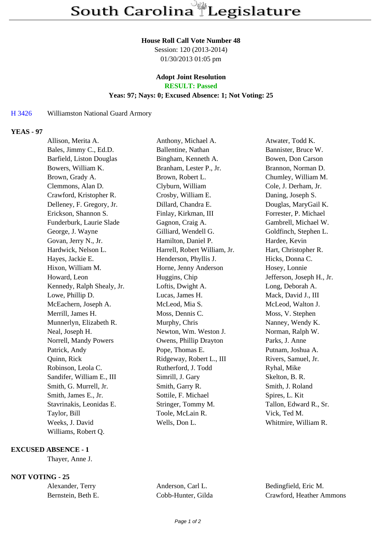#### **House Roll Call Vote Number 48**

Session: 120 (2013-2014) 01/30/2013 01:05 pm

# **Adopt Joint Resolution**

**RESULT: Passed**

## **Yeas: 97; Nays: 0; Excused Absence: 1; Not Voting: 25**

#### H 3426 Williamston National Guard Armory

## **YEAS - 97**

| Allison, Merita A.         | Anthony, Michael A.          | Atwater, Todd K.          |
|----------------------------|------------------------------|---------------------------|
| Bales, Jimmy C., Ed.D.     | Ballentine, Nathan           | Bannister, Bruce W.       |
| Barfield, Liston Douglas   | Bingham, Kenneth A.          | Bowen, Don Carson         |
| Bowers, William K.         | Branham, Lester P., Jr.      | Brannon, Norman D.        |
| Brown, Grady A.            | Brown, Robert L.             | Chumley, William M.       |
| Clemmons, Alan D.          | Clyburn, William             | Cole, J. Derham, Jr.      |
| Crawford, Kristopher R.    | Crosby, William E.           | Daning, Joseph S.         |
| Delleney, F. Gregory, Jr.  | Dillard, Chandra E.          | Douglas, MaryGail K.      |
| Erickson, Shannon S.       | Finlay, Kirkman, III         | Forrester, P. Michael     |
| Funderburk, Laurie Slade   | Gagnon, Craig A.             | Gambrell, Michael W.      |
| George, J. Wayne           | Gilliard, Wendell G.         | Goldfinch, Stephen L.     |
| Govan, Jerry N., Jr.       | Hamilton, Daniel P.          | Hardee, Kevin             |
| Hardwick, Nelson L.        | Harrell, Robert William, Jr. | Hart, Christopher R.      |
| Hayes, Jackie E.           | Henderson, Phyllis J.        | Hicks, Donna C.           |
| Hixon, William M.          | Horne, Jenny Anderson        | Hosey, Lonnie             |
| Howard, Leon               | Huggins, Chip                | Jefferson, Joseph H., Jr. |
| Kennedy, Ralph Shealy, Jr. | Loftis, Dwight A.            | Long, Deborah A.          |
| Lowe, Phillip D.           | Lucas, James H.              | Mack, David J., III       |
| McEachern, Joseph A.       | McLeod, Mia S.               | McLeod, Walton J.         |
| Merrill, James H.          | Moss, Dennis C.              | Moss, V. Stephen          |
| Munnerlyn, Elizabeth R.    | Murphy, Chris                | Nanney, Wendy K.          |
| Neal, Joseph H.            | Newton, Wm. Weston J.        | Norman, Ralph W.          |
| Norrell, Mandy Powers      | Owens, Phillip Drayton       | Parks, J. Anne            |
| Patrick, Andy              | Pope, Thomas E.              | Putnam, Joshua A.         |
| Quinn, Rick                | Ridgeway, Robert L., III     | Rivers, Samuel, Jr.       |
| Robinson, Leola C.         | Rutherford, J. Todd          | Ryhal, Mike               |
| Sandifer, William E., III  | Simrill, J. Gary             | Skelton, B. R.            |
| Smith, G. Murrell, Jr.     | Smith, Garry R.              | Smith, J. Roland          |
| Smith, James E., Jr.       | Sottile, F. Michael          | Spires, L. Kit            |
| Stavrinakis, Leonidas E.   | Stringer, Tommy M.           | Tallon, Edward R., Sr.    |
| Taylor, Bill               | Toole, McLain R.             | Vick, Ted M.              |
| Weeks, J. David            | Wells, Don L.                | Whitmire, William R.      |
| Williams, Robert Q.        |                              |                           |

## **EXCUSED ABSENCE - 1**

Thayer, Anne J.

## **NOT VOTING - 25**

| Alexander, Terry   |  |
|--------------------|--|
| Bernstein, Beth E. |  |

Anderson, Carl L. Bedingfield, Eric M.

Cobb-Hunter, Gilda Crawford, Heather Ammons